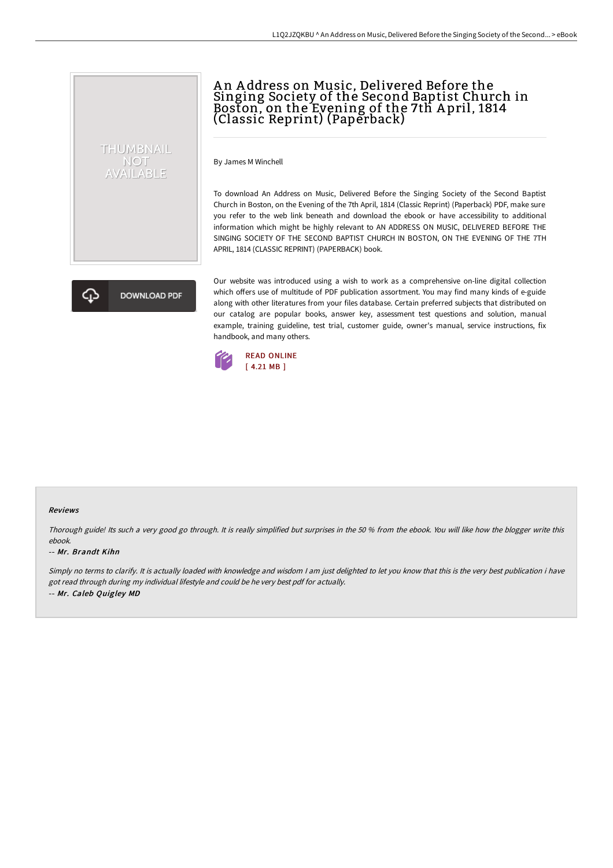# An Address on Music, Delivered Before the Singing Society of the Second Baptist Church in Boston, on the Evening of the 7th A pril, 1814 (Classic Reprint) (Paperback)

By James M Winchell

To download An Address on Music, Delivered Before the Singing Society of the Second Baptist Church in Boston, on the Evening of the 7th April, 1814 (Classic Reprint) (Paperback) PDF, make sure you refer to the web link beneath and download the ebook or have accessibility to additional information which might be highly relevant to AN ADDRESS ON MUSIC, DELIVERED BEFORE THE SINGING SOCIETY OF THE SECOND BAPTIST CHURCH IN BOSTON, ON THE EVENING OF THE 7TH APRIL, 1814 (CLASSIC REPRINT) (PAPERBACK) book.

**DOWNLOAD PDF** 

THUMBNAIL **NOT** AVAILABLE

> Our website was introduced using a wish to work as a comprehensive on-line digital collection which offers use of multitude of PDF publication assortment. You may find many kinds of e-guide along with other literatures from your files database. Certain preferred subjects that distributed on our catalog are popular books, answer key, assessment test questions and solution, manual example, training guideline, test trial, customer guide, owner's manual, service instructions, fix handbook, and many others.



#### Reviews

Thorough guide! Its such <sup>a</sup> very good go through. It is really simplified but surprises in the <sup>50</sup> % from the ebook. You will like how the blogger write this ebook.

#### -- Mr. Brandt Kihn

Simply no terms to clarify. It is actually loaded with knowledge and wisdom <sup>I</sup> am just delighted to let you know that this is the very best publication i have got read through during my individual lifestyle and could be he very best pdf for actually. -- Mr. Caleb Quigley MD